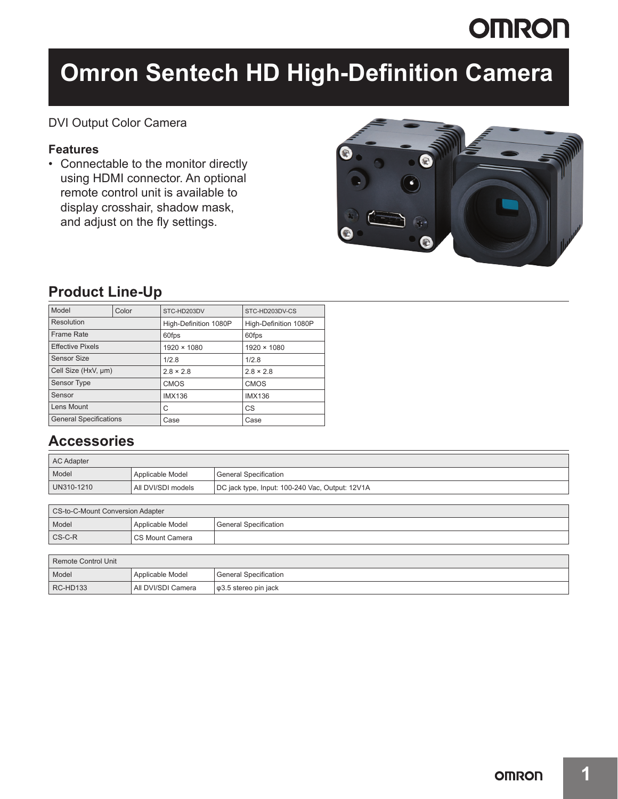# **OMRON**

# **Omron Sentech HD High-Definition Camera**

### DVI Output Color Camera

### **Features**

• Connectable to the monitor directly using HDMI connector. An optional remote control unit is available to display crosshair, shadow mask, and adjust on the fly settings.



## **Product Line-Up**

| Model                         | Color | STC-HD203DV           | STC-HD203DV-CS        |
|-------------------------------|-------|-----------------------|-----------------------|
| Resolution                    |       | High-Definition 1080P | High-Definition 1080P |
| Frame Rate                    |       | 60fps                 | 60fps                 |
| <b>Effective Pixels</b>       |       | 1920 × 1080           | $1920 \times 1080$    |
| Sensor Size                   |       | 1/2.8                 | 1/2.8                 |
| Cell Size (HxV, µm)           |       | $2.8 \times 2.8$      | $2.8 \times 2.8$      |
| <b>Sensor Type</b>            |       | <b>CMOS</b>           | <b>CMOS</b>           |
| Sensor                        |       | <b>IMX136</b>         | <b>IMX136</b>         |
| Lens Mount                    |       | С                     | CS                    |
| <b>General Specifications</b> |       | Case                  | Case                  |

## **Accessories**

| <b>AC Adapter</b> |                    |                                                 |  |  |
|-------------------|--------------------|-------------------------------------------------|--|--|
| Model             | Applicable Model   | <b>General Specification</b>                    |  |  |
| UN310-1210        | All DVI/SDI models | DC jack type, Input: 100-240 Vac, Output: 12V1A |  |  |

| CS-to-C-Mount Conversion Adapter                  |                   |                         |  |  |
|---------------------------------------------------|-------------------|-------------------------|--|--|
| Model                                             | Applicable Model  | l General Specification |  |  |
| $\mathsf{CS}\text{-}\mathsf{C}\text{-}\mathsf{R}$ | I CS Mount Camera |                         |  |  |

| Remote Control Unit |                    |                                   |  |  |
|---------------------|--------------------|-----------------------------------|--|--|
| Model               | Applicable Model   | <b>General Specification</b>      |  |  |
| RC-HD133            | All DVI/SDI Camera | $\sqrt{\phi}$ 3.5 stereo pin jack |  |  |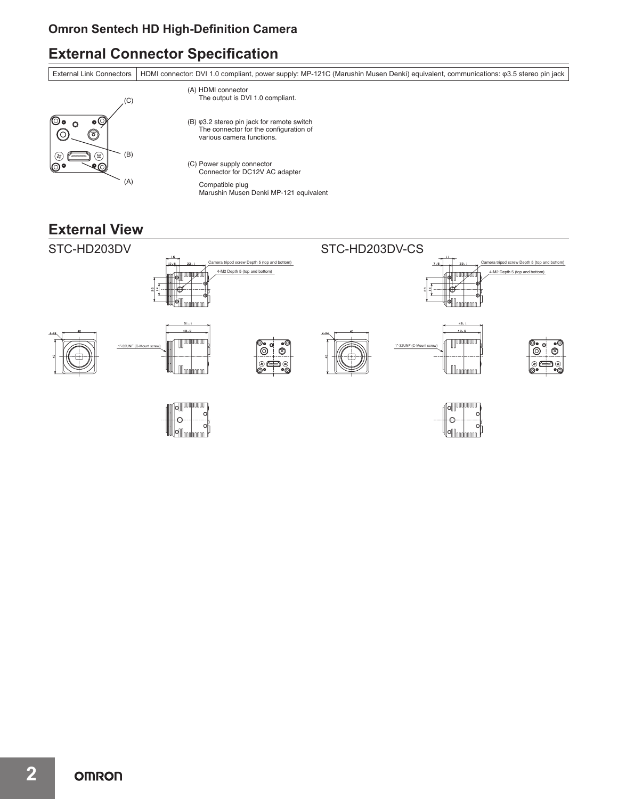### **Omron Sentech HD High-Definition Camera**

# **External Connector Specification**

External Link Connectors HDMI connector: DVI 1.0 compliant, power supply: MP-121C (Marushin Musen Denki) equivalent, communications: φ3.5 stereo pin jack  $C()$ (A) HDMI connector The output is DVI 1.0 compliant.



# **External View**

⊚•

 $\odot$ 

⊚∙